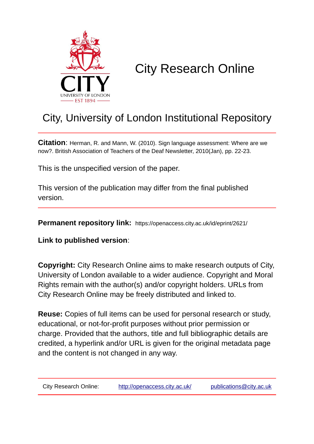

# City Research Online

# City, University of London Institutional Repository

**Citation**: Herman, R. and Mann, W. (2010). Sign language assessment: Where are we now?. British Association of Teachers of the Deaf Newsletter, 2010(Jan), pp. 22-23.

This is the unspecified version of the paper.

This version of the publication may differ from the final published version.

**Permanent repository link:** https://openaccess.city.ac.uk/id/eprint/2621/

**Link to published version**:

**Copyright:** City Research Online aims to make research outputs of City, University of London available to a wider audience. Copyright and Moral Rights remain with the author(s) and/or copyright holders. URLs from City Research Online may be freely distributed and linked to.

**Reuse:** Copies of full items can be used for personal research or study, educational, or not-for-profit purposes without prior permission or charge. Provided that the authors, title and full bibliographic details are credited, a hyperlink and/or URL is given for the original metadata page and the content is not changed in any way.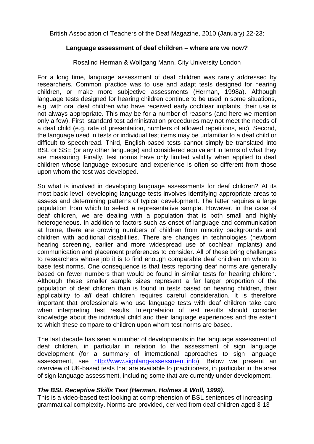British Association of Teachers of the Deaf Magazine, 2010 (January) 22-23:

## **Language assessment of deaf children – where are we now?**

## Rosalind Herman & Wolfgang Mann, City University London

For a long time, language assessment of deaf children was rarely addressed by researchers. Common practice was to use and adapt tests designed for hearing children, or make more subjective assessments (Herman, 1998a). Although language tests designed for hearing children continue to be used in some situations, e.g. with oral deaf children who have received early cochlear implants, their use is not always appropriate. This may be for a number of reasons (and here we mention only a few). First, standard test administration procedures may not meet the needs of a deaf child (e.g. rate of presentation, numbers of allowed repetitions, etc). Second, the language used in tests or individual test items may be unfamiliar to a deaf child or difficult to speechread. Third, English-based tests cannot simply be translated into BSL or SSE (or any other language) and considered equivalent in terms of what they are measuring. Finally, test norms have only limited validity when applied to deaf children whose language exposure and experience is often so different from those upon whom the test was developed.

So what is involved in developing language assessments for deaf children? At its most basic level, developing language tests involves identifying appropriate areas to assess and determining patterns of typical development. The latter requires a large population from which to select a representative sample. However, in the case of deaf children, we are dealing with a population that is both small and highly heterogeneous. In addition to factors such as onset of language and communication at home, there are growing numbers of children from minority backgrounds and children with additional disabilities. There are changes in technologies (newborn hearing screening, earlier and more widespread use of cochlear implants) and communication and placement preferences to consider. All of these bring challenges to researchers whose job it is to find enough comparable deaf children on whom to base test norms. One consequence is that tests reporting deaf norms are generally based on fewer numbers than would be found in similar tests for hearing children. Although these smaller sample sizes represent a far larger proportion of the population of deaf children than is found in tests based on hearing children, their applicability to *all* deaf children requires careful consideration. It is therefore important that professionals who use language tests with deaf children take care when interpreting test results. Interpretation of test results should consider knowledge about the individual child and their language experiences and the extent to which these compare to children upon whom test norms are based.

The last decade has seen a number of developments in the language assessment of deaf children, in particular in relation to the assessment of sign language development (for a summary of international approaches to sign language assessment, see [http://www.signlang-assessment.info\)](http://www.signlang-assessment.info/). Below we present an overview of UK-based tests that are available to practitioners, in particular in the area of sign language assessment, including some that are currently under development.

#### *The BSL Receptive Skills Test (Herman, Holmes & Woll, 1999).*

This is a video-based test looking at comprehension of BSL sentences of increasing grammatical complexity. Norms are provided, derived from deaf children aged 3-13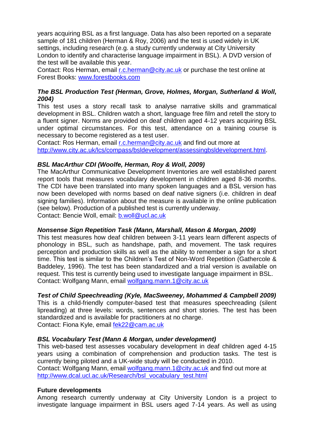years acquiring BSL as a first language. Data has also been reported on a separate sample of 181 children (Herman & Roy, 2006) and the test is used widely in UK settings, including research (e.g. a study currently underway at City University London to identify and characterise language impairment in BSL). A DVD version of the test will be available this year.

Contact: Ros Herman, email [r.c.herman@city.ac.uk](mailto:r.c.herman@city.ac.uk) or purchase the test online at Forest Books: [www.forestbooks.com](http://www.forestbooks.com/)

# *The BSL Production Test (Herman, Grove, Holmes, Morgan, Sutherland & Woll, 2004)*

This test uses a story recall task to analyse narrative skills and grammatical development in BSL. Children watch a short, language free film and retell the story to a fluent signer. Norms are provided on deaf children aged 4-12 years acquiring BSL under optimal circumstances. For this test, attendance on a training course is necessary to become registered as a test user.

Contact: Ros Herman, email [r.c.herman@city.ac.uk](mailto:r.c.herman@city.ac.uk) and find out more at [http://www.city.ac.uk/lcs/compass/bsldevelopment/assessingbsldevelopment.html.](http://www.city.ac.uk/lcs/compass/bsldevelopment/assessingbsldevelopment.html)

# *BSL MacArthur CDI (Woolfe, Herman, Roy & Woll, 2009)*

The MacArthur Communicative Development Inventories are well established parent report tools that measures vocabulary development in children aged 8-36 months. The CDI have been translated into many spoken languages and a BSL version has now been developed with norms based on deaf native signers (i.e. children in deaf signing families). Information about the measure is available in the online publication (see below). Production of a published test is currently underway. Contact: Bencie Woll, email: [b.woll@ucl.ac.uk](mailto:b.woll@ucl.ac.uk)

#### *Nonsense Sign Repetition Task (Mann, Marshall, Mason & Morgan, 2009)*

This test measures how deaf children between 3-11 years learn different aspects of phonology in BSL, such as handshape, path, and movement. The task requires perception and production skills as well as the ability to remember a sign for a short time. This test is similar to the Children's Test of Non-Word Repetition (Gathercole & Baddeley, 1996). The test has been standardized and a trial version is available on request. This test is currently being used to investigate language impairment in BSL. Contact: Wolfgang Mann, email [wolfgang.mann.1@city.ac.uk](mailto:wolfgang.mann.1@city.ac.uk)

# *Test of Child Speechreading (Kyle, MacSweeney, Mohammed & Campbell 2009)*

This is a child-friendly computer-based test that measures speechreading (silent lipreading) at three levels: words, sentences and short stories. The test has been standardized and is available for practitioners at no charge. Contact: Fiona Kyle, email [fek22@cam.ac.uk](mailto:fek22@cam.ac.uk)

#### *BSL Vocabulary Test (Mann & Morgan, under development)*

This web-based test assesses vocabulary development in deaf children aged 4-15 years using a combination of comprehension and production tasks. The test is currently being piloted and a UK-wide study will be conducted in 2010. Contact: Wolfgang Mann, email [wolfgang.mann.1@city.ac.uk](mailto:wolfgang.mann.1@city.ac.uk) and find out more at [http://www.dcal.ucl.ac.uk/Research/bsl\\_vocabulary\\_test.html](http://www.dcal.ucl.ac.uk/Research/bsl_vocabulary_test.html)

#### **Future developments**

Among research currently underway at City University London is a project to investigate language impairment in BSL users aged 7-14 years. As well as using